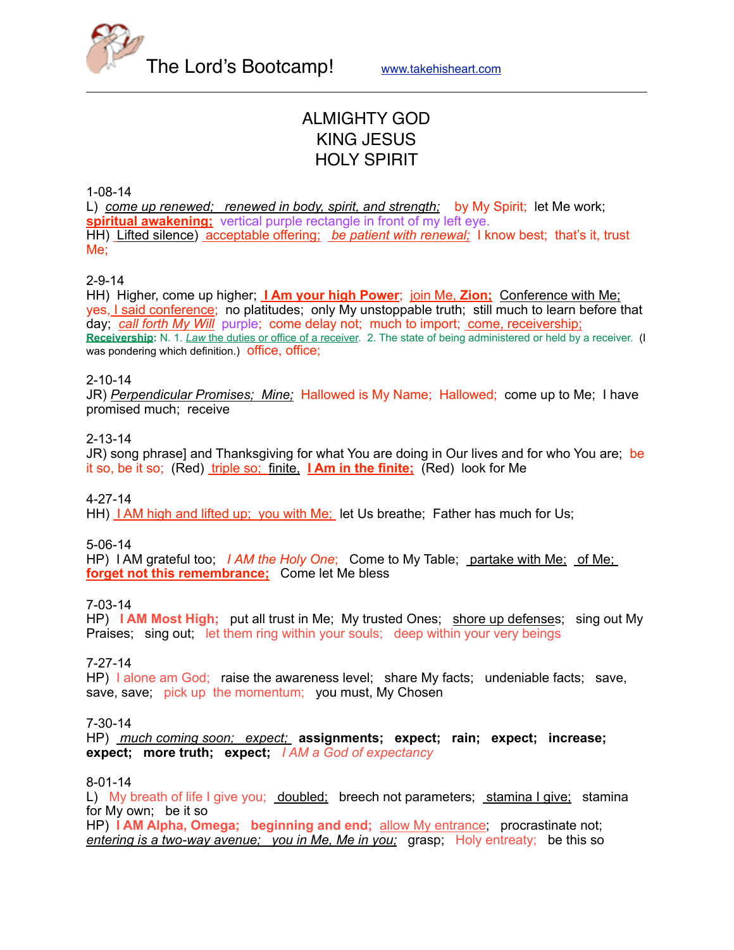

The Lord's Bootcamp! [www.takehisheart.com](http://www.takehisheart.com)

# ALMIGHTY GOD KING JESUS HOLY SPIRIT

1-08-14

L) *come up renewed; renewed in body, spirit, and strength;* by My Spirit; let Me work; **spiritual awakening;** vertical purple rectangle in front of my left eye. HH) Lifted silence) acceptable offering; *be patient with renewal;* I know best; that's it, trust Me;

2-9-14

HH) Higher, come up higher; **I Am your high Power**; join Me, **Zion;** Conference with Me; yes, I said conference; no platitudes; only My unstoppable truth; still much to learn before that day; *call forth My Will* purple; come delay not; much to import; come, receivership; **Receivership:** N. 1. *Law* the duties or office of a receiver. 2. The state of being administered or held by a receiver. (I was pondering which definition.) **Office**, **Office**;

#### 2-10-14

JR) *Perpendicular Promises; Mine;* Hallowed is My Name; Hallowed; come up to Me; I have promised much; receive

#### 2-13-14

JR) song phrase] and Thanksgiving for what You are doing in Our lives and for who You are; be it so, be it so; (Red) triple so; finite, **I Am in the finite;** (Red) look for Me

4-27-14

HH) I AM high and lifted up; you with Me; let Us breathe; Father has much for Us;

5-06-14

HP) I AM grateful too; *I AM the Holy One*; Come to My Table; partake with Me; of Me; **forget not this remembrance;** Come let Me bless

7-03-14

HP) **I AM Most High;** put all trust in Me; My trusted Ones; shore up defenses; sing out My Praises; sing out; let them ring within your souls; deep within your very beings

#### 7-27-14

HP) I alone am God; raise the awareness level; share My facts; undeniable facts; save, save, save; pick up the momentum; you must, My Chosen

7-30-14

HP) *much coming soon; expect;* **assignments; expect; rain; expect; increase; expect; more truth; expect;** *I AM a God of expectancy*

#### 8-01-14

L) My breath of life I give you; doubled; breech not parameters; stamina I give; stamina for My own; be it so HP) **I AM Alpha, Omega; beginning and end;** allow My entrance; procrastinate not; *entering is a two-way avenue; you in Me, Me in you;* grasp; Holy entreaty; be this so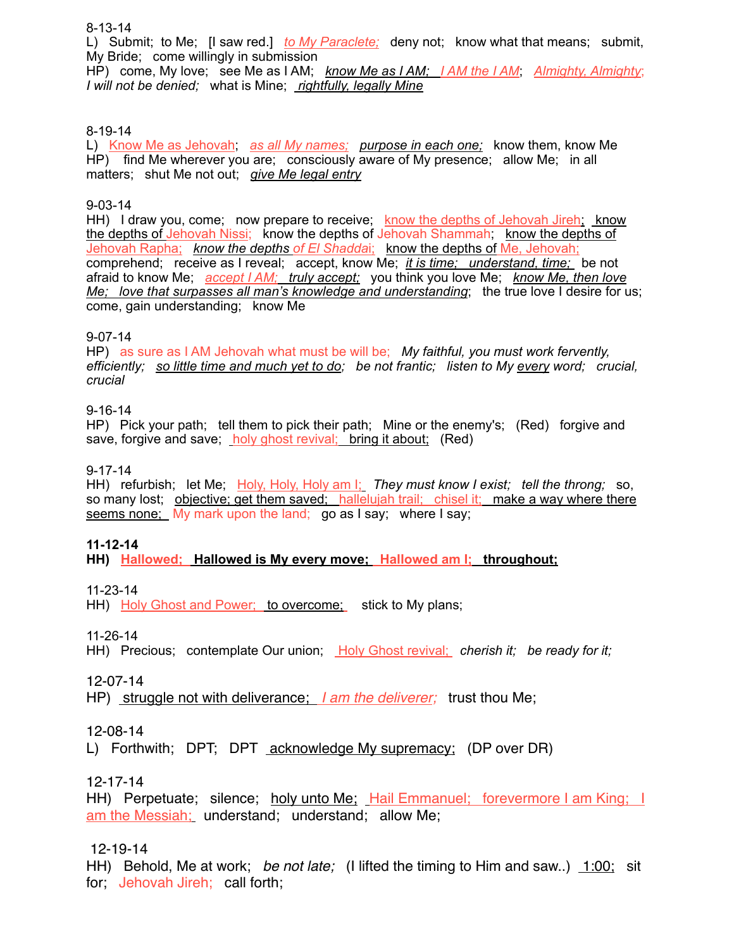#### 8-13-14

L) Submit; to Me; [I saw red.] *to My Paraclete;* deny not; know what that means; submit, My Bride; come willingly in submission

HP) come, My love; see Me as I AM; *know Me as I AM; I AM the I AM*; *Almighty, Almighty*; *I will not be denied;* what is Mine; *rightfully, legally Mine*

#### 8-19-14

L) Know Me as Jehovah; *as all My names; purpose in each one;* know them, know Me HP) find Me wherever you are; consciously aware of My presence; allow Me; in all matters; shut Me not out; *give Me legal entry*

#### 9-03-14

HH) I draw you, come; now prepare to receive; know the depths of Jehovah Jireh; know the depths of Jehovah Nissi; know the depths of Jehovah Shammah; know the depths of Jehovah Rapha; *know the depths of El Shadda*i; know the depths of Me, Jehovah; comprehend; receive as I reveal; accept, know Me; *it is time; understand, time;* be not afraid to know Me; *accept I AM; truly accept;* you think you love Me; *know Me, then love Me; love that surpasses all man's knowledge and understanding*; the true love I desire for us; come, gain understanding; know Me

#### 9-07-14

HP) as sure as I AM Jehovah what must be will be; *My faithful, you must work fervently, efficiently; so little time and much yet to do; be not frantic; listen to My every word; crucial, crucial*

#### 9-16-14

HP) Pick your path; tell them to pick their path; Mine or the enemy's; (Red) forgive and save, forgive and save; holy ghost revival; bring it about; (Red)

#### 9-17-14

HH) refurbish; let Me; Holy, Holy, Holy am I; *They must know I exist; tell the throng;* so, so many lost; objective; get them saved; hallelujah trail; chisel it; make a way where there seems none; My mark upon the land; go as I say; where I say;

#### **11-12-14**

**HH) Hallowed; Hallowed is My every move; Hallowed am I; throughout;** 

11-23-14

HH) Holy Ghost and Power; to overcome; stick to My plans;

11-26-14

HH) Precious; contemplate Our union; Holy Ghost revival; *cherish it; be ready for it;* 

12-07-14

HP) struggle not with deliverance; *I am the deliverer;* trust thou Me;

12-08-14

L) Forthwith; DPT; DPT acknowledge My supremacy; (DP over DR)

12-17-14

HH) Perpetuate; silence; holy unto Me; Hail Emmanuel; forevermore I am King; I am the Messiah; understand; understand; allow Me;

#### 12-19-14

HH) Behold, Me at work; *be not late;* (I lifted the timing to Him and saw..) 1:00; sit for; Jehovah Jireh; call forth;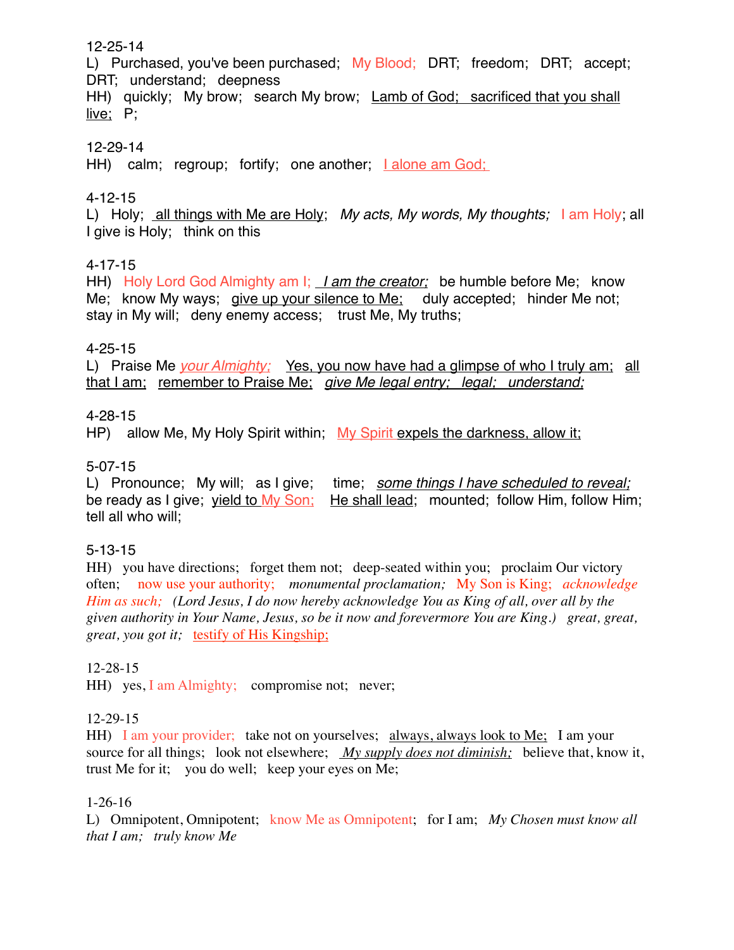#### 12-25-14

L) Purchased, you've been purchased; My Blood; DRT; freedom; DRT; accept; DRT; understand; deepness

HH) quickly; My brow; search My brow; Lamb of God; sacrificed that you shall live; P;

### 12-29-14

HH) calm; regroup; fortify; one another; Lalone am God;

# 4-12-15

L) Holy; all things with Me are Holy; *My acts, My words, My thoughts;* I am Holy; all I give is Holy; think on this

# 4-17-15

HH) Holy Lord God Almighty am I; *I am the creator;* be humble before Me; know Me; know My ways; give up your silence to Me; duly accepted; hinder Me not; stay in My will; deny enemy access; trust Me, My truths;

### 4-25-15

L) Praise Me *your Almighty*; Yes, you now have had a glimpse of who I truly am; all that I am; remember to Praise Me; *give Me legal entry; legal; understand;*

### 4-28-15

HP) allow Me, My Holy Spirit within; My Spirit expels the darkness, allow it;

### 5-07-15

L) Pronounce; My will; as I give; time; *some things I have scheduled to reveal;*<br>be ready as I give; yield to My Son; He shall lead; mounted; follow Him, follow Him He shall lead; mounted; follow Him, follow Him; tell all who will;

# 5-13-15

HH) you have directions; forget them not; deep-seated within you; proclaim Our victory often; now use your authority; *monumental proclamation;* My Son is King; *acknowledge Him as such; (Lord Jesus, I do now hereby acknowledge You as King of all, over all by the given authority in Your Name, Jesus, so be it now and forevermore You are King.) great, great, great, you got it;* testify of His Kingship;

### 12-28-15

HH) yes, I am Almighty; compromise not; never;

### 12-29-15

HH) I am your provider; take not on yourselves; always, always look to Me; I am your source for all things; look not elsewhere; *My supply does not diminish;* believe that, know it, trust Me for it; you do well; keep your eyes on Me;

### 1-26-16

L) Omnipotent, Omnipotent; know Me as Omnipotent; for I am; *My Chosen must know all that I am; truly know Me*